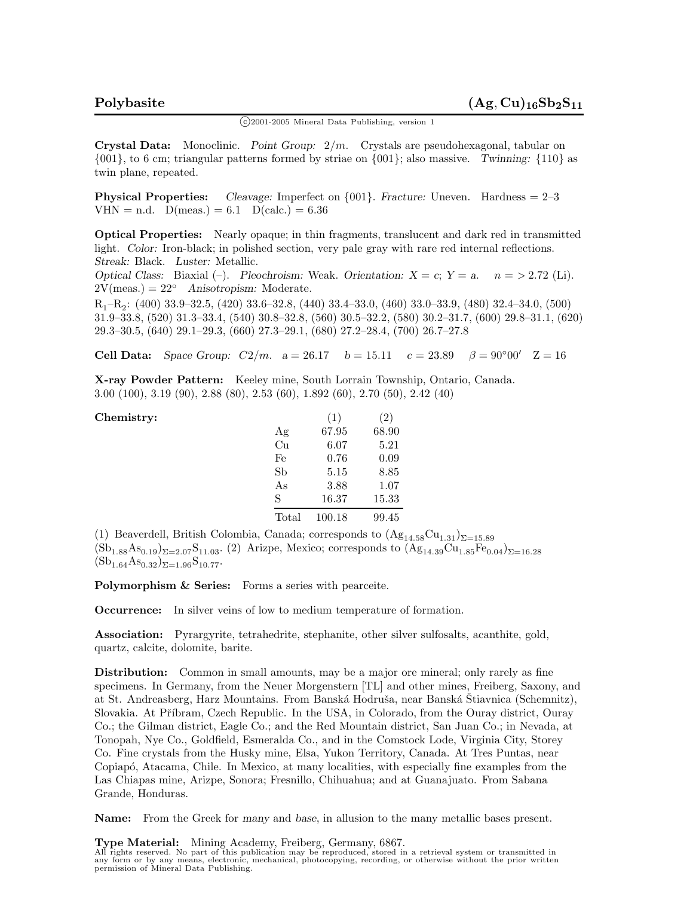$\binom{c}{2001-2005}$  Mineral Data Publishing, version 1

**Crystal Data:** Monoclinic. *Point Group:* 2*/m.* Crystals are pseudohexagonal, tabular on {001}, to 6 cm; triangular patterns formed by striae on {001}; also massive. *Twinning:* {110} as twin plane, repeated.

**Physical Properties:** *Cleavage:* Imperfect on {001}. *Fracture:* Uneven. Hardness = 2–3  $VHN = n.d.$   $D(meas.) = 6.1$   $D(calc.) = 6.36$ 

**Optical Properties:** Nearly opaque; in thin fragments, translucent and dark red in transmitted light. *Color:* Iron-black; in polished section, very pale gray with rare red internal reflections. *Streak:* Black. *Luster:* Metallic.

*Optical Class:* Biaxial  $(-)$ . *Pleochroism:* Weak. *Orientation:*  $X = c$ ;  $Y = a$ .  $n = > 2.72$  (Li). 2V(meas.) = 22◦ *Anisotropism:* Moderate.

R1–R2: (400) 33.9–32.5, (420) 33.6–32.8, (440) 33.4–33.0, (460) 33.0–33.9, (480) 32.4–34.0, (500) 31.9–33.8, (520) 31.3–33.4, (540) 30.8–32.8, (560) 30.5–32.2, (580) 30.2–31.7, (600) 29.8–31.1, (620) 29.3–30.5, (640) 29.1–29.3, (660) 27.3–29.1, (680) 27.2–28.4, (700) 26.7–27.8

**Cell Data:** *Space Group:*  $C2/m$ .  $a = 26.17$   $b = 15.11$   $c = 23.89$   $\beta = 90°00'$   $Z = 16$ 

**X-ray Powder Pattern:** Keeley mine, South Lorrain Township, Ontario, Canada. 3.00 (100), 3.19 (90), 2.88 (80), 2.53 (60), 1.892 (60), 2.70 (50), 2.42 (40)

| Chemistry: |       | (1)    | $\left( 2\right)$ |
|------------|-------|--------|-------------------|
|            | Ag    | 67.95  | 68.90             |
|            | Cu    | 6.07   | 5.21              |
|            | Fe    | 0.76   | 0.09              |
|            | Sb    | 5.15   | 8.85              |
|            | As    | 3.88   | 1.07              |
|            | S     | 16.37  | 15.33             |
|            | Total | 100.18 | 99.45             |

(1) Beaverdell, British Colombia, Canada; corresponds to  $(Ag_{14.58}Cu_{1.31})_{\Sigma=15.89}$  $(Sb_{1.88}As_{0.19})_{\Sigma=2.07}S_{11.03}$ . (2) Arizpe, Mexico; corresponds to  $(Ag_{14.39}Cu_{1.85}Fe_{0.04})_{\Sigma=16.28}$  $(Sb_{1.64}As_{0.32})_{\Sigma=1.96}S_{10.77}$ 

**Polymorphism & Series:** Forms a series with pearceite.

**Occurrence:** In silver veins of low to medium temperature of formation.

**Association:** Pyrargyrite, tetrahedrite, stephanite, other silver sulfosalts, acanthite, gold, quartz, calcite, dolomite, barite.

**Distribution:** Common in small amounts, may be a major ore mineral; only rarely as fine specimens. In Germany, from the Neuer Morgenstern [TL] and other mines, Freiberg, Saxony, and at St. Andreasberg, Harz Mountains. From Banská Hodruša, near Banská Štiavnica (Schemnitz), Slovakia. At Příbram, Czech Republic. In the USA, in Colorado, from the Ouray district, Ouray Co.; the Gilman district, Eagle Co.; and the Red Mountain district, San Juan Co.; in Nevada, at Tonopah, Nye Co., Goldfield, Esmeralda Co., and in the Comstock Lode, Virginia City, Storey Co. Fine crystals from the Husky mine, Elsa, Yukon Territory, Canada. At Tres Puntas, near Copiap´o, Atacama, Chile. In Mexico, at many localities, with especially fine examples from the Las Chiapas mine, Arizpe, Sonora; Fresnillo, Chihuahua; and at Guanajuato. From Sabana Grande, Honduras.

**Name:** From the Greek for *many* and *base*, in allusion to the many metallic bases present.

**Type Material:** Mining Academy, Freiberg, Germany, 6867. All rights reserved. No part of this publication may be reproduced, stored in a retrieval system or transmitted in any form or by any means, electronic, mechanical, photocopying, recording, or otherwise without the prior written permission of Mineral Data Publishing.